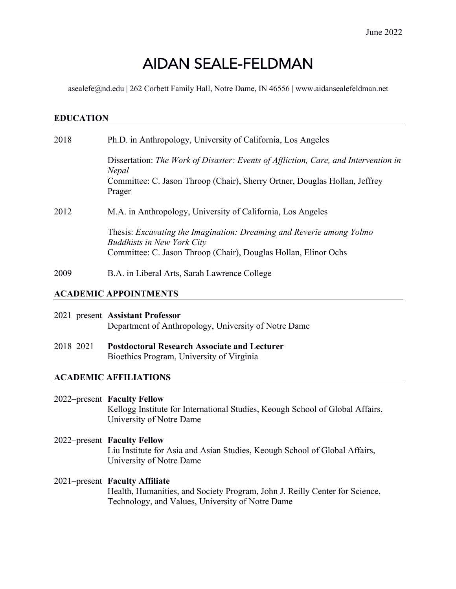# AIDAN SEALE-FELDMAN

asealefe@nd.edu | 262 Corbett Family Hall, Notre Dame, IN 46556 | www.aidansealefeldman.net

#### **EDUCATION**

| 2018 | Ph.D. in Anthropology, University of California, Los Angeles                                                                                                                         |
|------|--------------------------------------------------------------------------------------------------------------------------------------------------------------------------------------|
|      | Dissertation: The Work of Disaster: Events of Affliction, Care, and Intervention in<br>Nepal<br>Committee: C. Jason Throop (Chair), Sherry Ortner, Douglas Hollan, Jeffrey<br>Prager |
| 2012 | M.A. in Anthropology, University of California, Los Angeles                                                                                                                          |
|      | Thesis: Excavating the Imagination: Dreaming and Reverie among Yolmo<br><b>Buddhists in New York City</b><br>Committee: C. Jason Throop (Chair), Douglas Hollan, Elinor Ochs         |
| 2009 | B.A. in Liberal Arts, Sarah Lawrence College                                                                                                                                         |

#### **ACADEMIC APPOINTMENTS**

| 2021–present Assistant Professor                     |
|------------------------------------------------------|
| Department of Anthropology, University of Notre Dame |

2018–2021 **Postdoctoral Research Associate and Lecturer** Bioethics Program, University of Virginia

#### **ACADEMIC AFFILIATIONS**

2022–present **Faculty Fellow** Kellogg Institute for International Studies, Keough School of Global Affairs, University of Notre Dame

- 2022–present **Faculty Fellow** Liu Institute for Asia and Asian Studies, Keough School of Global Affairs, University of Notre Dame
- 2021–present **Faculty Affiliate** Health, Humanities, and Society Program, John J. Reilly Center for Science, Technology, and Values, University of Notre Dame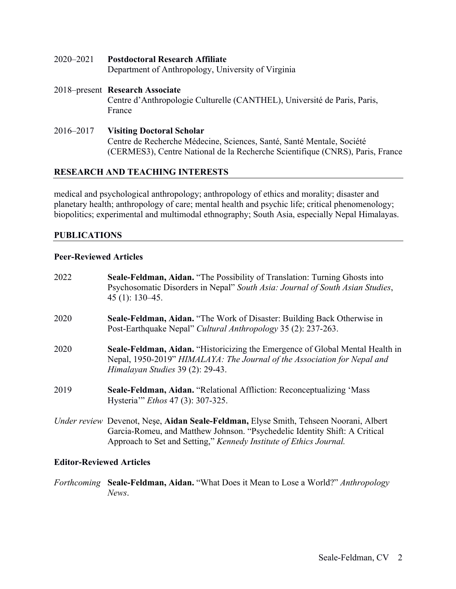- 2020–2021 **Postdoctoral Research Affiliate** Department of Anthropology, University of Virginia
- 2018–present **Research Associate** Centre d'Anthropologie Culturelle (CANTHEL), Université de Paris, Paris, France
- 2016–2017 **Visiting Doctoral Scholar** Centre de Recherche Médecine, Sciences, Santé, Santé Mentale, Société (CERMES3), Centre National de la Recherche Scientifique (CNRS), Paris, France

#### **RESEARCH AND TEACHING INTERESTS**

medical and psychological anthropology; anthropology of ethics and morality; disaster and planetary health; anthropology of care; mental health and psychic life; critical phenomenology; biopolitics; experimental and multimodal ethnography; South Asia, especially Nepal Himalayas.

#### **PUBLICATIONS**

#### **Peer-Reviewed Articles**

| 2022 | Seale-Feldman, Aidan. "The Possibility of Translation: Turning Ghosts into<br>Psychosomatic Disorders in Nepal" South Asia: Journal of South Asian Studies,<br>$45(1): 130-45.$                                                           |
|------|-------------------------------------------------------------------------------------------------------------------------------------------------------------------------------------------------------------------------------------------|
| 2020 | <b>Seale-Feldman, Aidan.</b> "The Work of Disaster: Building Back Otherwise in<br>Post-Earthquake Nepal" Cultural Anthropology 35 (2): 237-263.                                                                                           |
| 2020 | Seale-Feldman, Aidan. "Historicizing the Emergence of Global Mental Health in<br>Nepal, 1950-2019" HIMALAYA: The Journal of the Association for Nepal and<br>Himalayan Studies 39 (2): 29-43.                                             |
| 2019 | Seale-Feldman, Aidan. "Relational Affliction: Reconceptualizing 'Mass<br>Hysteria'" <i>Ethos</i> 47 (3): 307-325.                                                                                                                         |
|      | Under review Devenot, Nese, Aidan Seale-Feldman, Elyse Smith, Tehseen Noorani, Albert<br>Garcia-Romeu, and Matthew Johnson. "Psychedelic Identity Shift: A Critical<br>Approach to Set and Setting," Kennedy Institute of Ethics Journal. |

#### **Editor-Reviewed Articles**

*Forthcoming* **Seale-Feldman, Aidan.** "What Does it Mean to Lose a World?" *Anthropology News*.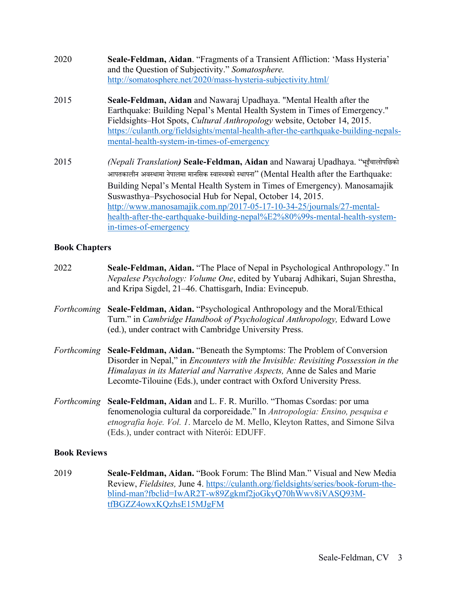| 2020 | Seale-Feldman, Aidan. "Fragments of a Transient Affliction: 'Mass Hysteria'<br>and the Question of Subjectivity." Somatosphere.<br>http://somatosphere.net/2020/mass-hysteria-subjectivity.html/                                                                                                                                                                 |
|------|------------------------------------------------------------------------------------------------------------------------------------------------------------------------------------------------------------------------------------------------------------------------------------------------------------------------------------------------------------------|
| 2015 | Seale-Feldman, Aidan and Nawaraj Upadhaya. "Mental Health after the<br>Earthquake: Building Nepal's Mental Health System in Times of Emergency."<br>Fieldsights–Hot Spots, Cultural Anthropology website, October 14, 2015.<br>https://culanth.org/fieldsights/mental-health-after-the-earthquake-building-nepals-<br>mental-health-system-in-times-of-emergency |
| 2015 | <i>(Nepali Translation)</i> Seale-Feldman, Aidan and Nawaraj Upadhaya. "भूइँचालोपछिको<br>आपतकालीन अवस्थामा नेपालमा मानसिक स्वास्थ्यको स्थापना'' (Mental Health after the Earthquake:<br>$\text{Building } \text{N}$ and $\text{V}$ Mental Health System in Times of Emergency) Manosamaiik                                                                       |

Building Nepal's Mental Health System in Times of Emergency). Manosamajik Suswasthya–Psychosocial Hub for Nepal, October 14, 2015. http://www.manosamajik.com.np/2017-05-17-10-34-25/journals/27-mentalhealth-after-the-earthquake-building-nepal%E2%80%99s-mental-health-systemin-times-of-emergency

#### **Book Chapters**

| 2022                | Seale-Feldman, Aidan. "The Place of Nepal in Psychological Anthropology." In<br>Nepalese Psychology: Volume One, edited by Yubaraj Adhikari, Sujan Shrestha,<br>and Kripa Sigdel, 21–46. Chattisgarh, India: Evincepub.                                                                                                  |
|---------------------|--------------------------------------------------------------------------------------------------------------------------------------------------------------------------------------------------------------------------------------------------------------------------------------------------------------------------|
| Forthcoming         | Seale-Feldman, Aidan. "Psychological Anthropology and the Moral/Ethical<br>Turn." in <i>Cambridge Handbook of Psychological Anthropology</i> , Edward Lowe<br>(ed.), under contract with Cambridge University Press.                                                                                                     |
| Forthcoming         | Seale-Feldman, Aidan. "Beneath the Symptoms: The Problem of Conversion<br>Disorder in Nepal," in <i>Encounters with the Invisible: Revisiting Possession in the</i><br>Himalayas in its Material and Narrative Aspects, Anne de Sales and Marie<br>Lecomte-Tilouine (Eds.), under contract with Oxford University Press. |
| Forthcoming         | Seale-Feldman, Aidan and L. F. R. Murillo. "Thomas Csordas: por uma<br>fenomenologia cultural da corporeidade." In Antropologia: Ensino, pesquisa e<br>etnografia hoje. Vol. 1. Marcelo de M. Mello, Kleyton Rattes, and Simone Silva<br>(Eds.), under contract with Niterói: EDUFF.                                     |
| <b>Book Reviews</b> |                                                                                                                                                                                                                                                                                                                          |

2019 **Seale-Feldman, Aidan.** "Book Forum: The Blind Man." Visual and New Media Review, *Fieldsites,* June 4. https://culanth.org/fieldsights/series/book-forum-theblind-man?fbclid=IwAR2T-w89Zgkmf2joGkyQ70hWwv8iVASQ93MtfBGZZ4owxKQzhsE15MJgFM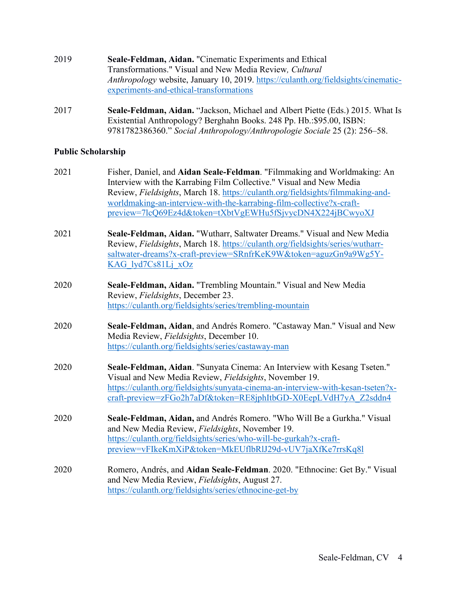| 2019 | Seale-Feldman, Aidan. "Cinematic Experiments and Ethical                           |
|------|------------------------------------------------------------------------------------|
|      | Transformations." Visual and New Media Review, Cultural                            |
|      | Anthropology website, January 10, 2019. https://culanth.org/fieldsights/cinematic- |
|      | experiments-and-ethical-transformations                                            |

2017 **Seale-Feldman, Aidan.** "Jackson, Michael and Albert Piette (Eds.) 2015. What Is Existential Anthropology? Berghahn Books. 248 Pp. Hb.:\$95.00, ISBN: 9781782386360." *Social Anthropology/Anthropologie Sociale* 25 (2): 256–58.

# **Public Scholarship**

| 2021 | Fisher, Daniel, and Aidan Seale-Feldman. "Filmmaking and Worldmaking: An<br>Interview with the Karrabing Film Collective." Visual and New Media<br>Review, Fieldsights, March 18. https://culanth.org/fieldsights/filmmaking-and-<br>worldmaking-an-interview-with-the-karrabing-film-collective?x-craft-<br>preview=7lcQ69Ez4d&token=tXbtVgEWHu5fSjvycDN4X224jBCwyoXJ |
|------|------------------------------------------------------------------------------------------------------------------------------------------------------------------------------------------------------------------------------------------------------------------------------------------------------------------------------------------------------------------------|
| 2021 | Seale-Feldman, Aidan. "Wutharr, Saltwater Dreams." Visual and New Media<br>Review, Fieldsights, March 18. https://culanth.org/fieldsights/series/wutharr-<br>saltwater-dreams?x-craft-preview=SRnfrKeK9W&token=aguzGn9a9Wg5Y-<br>KAG lyd7Cs81Lj xOz                                                                                                                    |
| 2020 | Seale-Feldman, Aidan. "Trembling Mountain." Visual and New Media<br>Review, Fieldsights, December 23.<br>https://culanth.org/fieldsights/series/trembling-mountain                                                                                                                                                                                                     |
| 2020 | Seale-Feldman, Aidan, and Andrés Romero. "Castaway Man." Visual and New<br>Media Review, Fieldsights, December 10.<br>https://culanth.org/fieldsights/series/castaway-man                                                                                                                                                                                              |
| 2020 | Seale-Feldman, Aidan. "Sunyata Cinema: An Interview with Kesang Tseten."<br>Visual and New Media Review, Fieldsights, November 19.<br>https://culanth.org/fieldsights/sunyata-cinema-an-interview-with-kesan-tseten?x-<br>craft-preview=zFGo2h7aDf&token=RE8jphItbGD-X0EepLVdH7yA Z2sddn4                                                                              |
| 2020 | Seale-Feldman, Aidan, and Andrés Romero. "Who Will Be a Gurkha." Visual<br>and New Media Review, Fieldsights, November 19.<br>https://culanth.org/fieldsights/series/who-will-be-gurkah?x-craft-<br>preview=vFIkeKmXiP&token=MkEUflbRlJ29d-vUV7jaXfKe7rrsKq8l                                                                                                          |
| 2020 | Romero, Andrés, and Aidan Seale-Feldman. 2020. "Ethnocine: Get By." Visual<br>and New Media Review, Fieldsights, August 27.<br>https://culanth.org/fieldsights/series/ethnocine-get-by                                                                                                                                                                                 |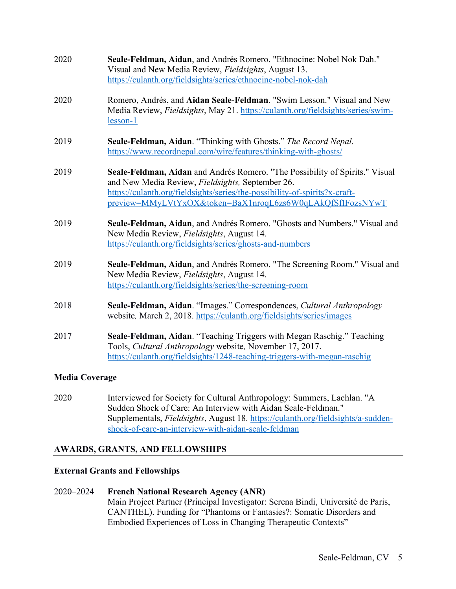| 2020                  | Seale-Feldman, Aidan, and Andrés Romero. "Ethnocine: Nobel Nok Dah."<br>Visual and New Media Review, Fieldsights, August 13.<br>https://culanth.org/fieldsights/series/ethnocine-nobel-nok-dah                                                                              |
|-----------------------|-----------------------------------------------------------------------------------------------------------------------------------------------------------------------------------------------------------------------------------------------------------------------------|
| 2020                  | Romero, Andrés, and Aidan Seale-Feldman. "Swim Lesson." Visual and New<br>Media Review, Fieldsights, May 21. https://culanth.org/fieldsights/series/swim-<br>lesson-1                                                                                                       |
| 2019                  | Seale-Feldman, Aidan. "Thinking with Ghosts." The Record Nepal.<br>https://www.recordnepal.com/wire/features/thinking-with-ghosts/                                                                                                                                          |
| 2019                  | Seale-Feldman, Aidan and Andrés Romero. "The Possibility of Spirits." Visual<br>and New Media Review, Fieldsights, September 26.<br>https://culanth.org/fieldsights/series/the-possibility-of-spirits?x-craft-<br>preview=MMyLVtYxOX&token=BaX1nroqL6zs6W0qLAkQfSfIFozsNYwT |
| 2019                  | Seale-Feldman, Aidan, and Andrés Romero. "Ghosts and Numbers." Visual and<br>New Media Review, Fieldsights, August 14.<br>https://culanth.org/fieldsights/series/ghosts-and-numbers                                                                                         |
| 2019                  | Seale-Feldman, Aidan, and Andrés Romero. "The Screening Room." Visual and<br>New Media Review, Fieldsights, August 14.<br>https://culanth.org/fieldsights/series/the-screening-room                                                                                         |
| 2018                  | Seale-Feldman, Aidan. "Images." Correspondences, Cultural Anthropology<br>website, March 2, 2018. https://culanth.org/fieldsights/series/images                                                                                                                             |
| 2017                  | Seale-Feldman, Aidan. "Teaching Triggers with Megan Raschig." Teaching<br>Tools, Cultural Anthropology website, November 17, 2017.<br>https://culanth.org/fieldsights/1248-teaching-triggers-with-megan-raschig                                                             |
| <b>Media Coverage</b> |                                                                                                                                                                                                                                                                             |

2020 Interviewed for Society for Cultural Anthropology: Summers, Lachlan. "A Sudden Shock of Care: An Interview with Aidan Seale-Feldman." Supplementals, *Fieldsights*, August 18. https://culanth.org/fieldsights/a-suddenshock-of-care-an-interview-with-aidan-seale-feldman

#### **AWARDS, GRANTS, AND FELLOWSHIPS**

#### **External Grants and Fellowships**

# 2020–2024 **French National Research Agency (ANR)** Main Project Partner (Principal Investigator: Serena Bindi, Université de Paris, CANTHEL). Funding for "Phantoms or Fantasies?: Somatic Disorders and Embodied Experiences of Loss in Changing Therapeutic Contexts"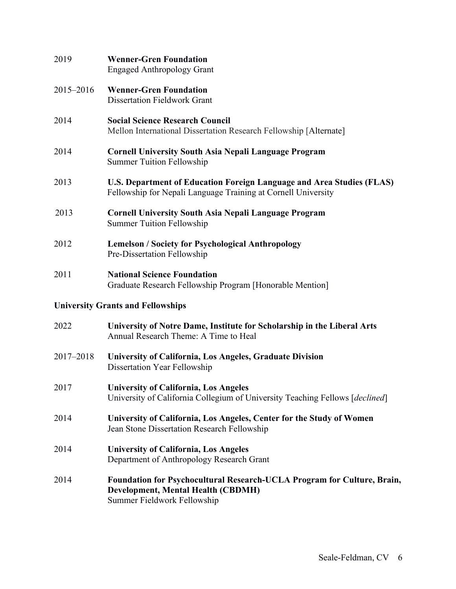| 2019      | <b>Wenner-Gren Foundation</b><br><b>Engaged Anthropology Grant</b>                                                                     |
|-----------|----------------------------------------------------------------------------------------------------------------------------------------|
| 2015-2016 | <b>Wenner-Gren Foundation</b><br><b>Dissertation Fieldwork Grant</b>                                                                   |
| 2014      | <b>Social Science Research Council</b><br>Mellon International Dissertation Research Fellowship [Alternate]                            |
| 2014      | <b>Cornell University South Asia Nepali Language Program</b><br><b>Summer Tuition Fellowship</b>                                       |
| 2013      | U.S. Department of Education Foreign Language and Area Studies (FLAS)<br>Fellowship for Nepali Language Training at Cornell University |
| 2013      | <b>Cornell University South Asia Nepali Language Program</b><br><b>Summer Tuition Fellowship</b>                                       |
| 2012      | <b>Lemelson / Society for Psychological Anthropology</b><br>Pre-Dissertation Fellowship                                                |
| 2011      | <b>National Science Foundation</b><br>Graduate Research Fellowship Program [Honorable Mention]                                         |
|           | <b>University Grants and Fellowships</b>                                                                                               |
| 2022      | University of Notre Dame, Institute for Scholarship in the Liberal Arts<br>Annual Research Theme: A Time to Heal                       |
| 2017-2018 | University of California, Los Angeles, Graduate Division<br>Dissertation Year Fellowship                                               |
| 2017      | <b>University of California, Los Angeles</b><br>University of California Collegium of University Teaching Fellows [declined]           |
| 2014      | University of California, Los Angeles, Center for the Study of Women<br>Jean Stone Dissertation Research Fellowship                    |
| 2014      | <b>University of California, Los Angeles</b><br>Department of Anthropology Research Grant                                              |

2014 **Foundation for Psychocultural Research-UCLA Program for Culture, Brain, Development, Mental Health (CBDMH)** Summer Fieldwork Fellowship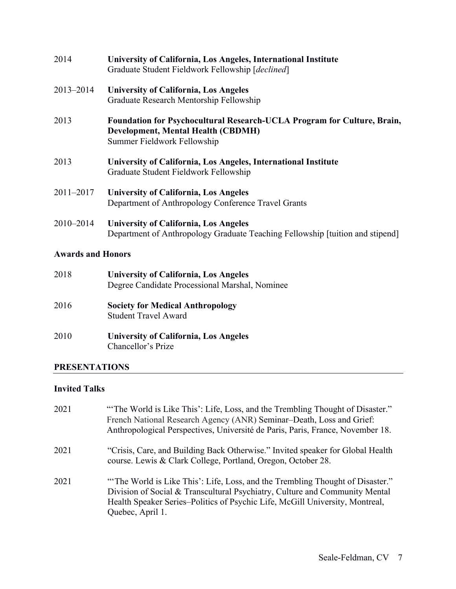| 2014          | University of California, Los Angeles, International Institute<br>Graduate Student Fieldwork Fellowship [declined]                                  |
|---------------|-----------------------------------------------------------------------------------------------------------------------------------------------------|
| 2013-2014     | <b>University of California, Los Angeles</b><br>Graduate Research Mentorship Fellowship                                                             |
| 2013          | <b>Foundation for Psychocultural Research-UCLA Program for Culture, Brain,</b><br>Development, Mental Health (CBDMH)<br>Summer Fieldwork Fellowship |
| 2013          | University of California, Los Angeles, International Institute<br>Graduate Student Fieldwork Fellowship                                             |
| $2011 - 2017$ | <b>University of California, Los Angeles</b><br>Department of Anthropology Conference Travel Grants                                                 |
| $2010 - 2014$ | <b>University of California, Los Angeles</b><br>Department of Anthropology Graduate Teaching Fellowship [tuition and stipend]                       |

# **Awards and Honors**

| 2018 | <b>University of California, Los Angeles</b><br>Degree Candidate Processional Marshal, Nominee |
|------|------------------------------------------------------------------------------------------------|
| 2016 | <b>Society for Medical Anthropology</b><br><b>Student Travel Award</b>                         |
| 2010 | <b>University of California, Los Angeles</b><br>Chancellor's Prize                             |

# **PRESENTATIONS**

# **Invited Talks**

| 2021 | "The World is Like This': Life, Loss, and the Trembling Thought of Disaster."<br>French National Research Agency (ANR) Seminar-Death, Loss and Grief:<br>Anthropological Perspectives, Université de Paris, Paris, France, November 18.                          |
|------|------------------------------------------------------------------------------------------------------------------------------------------------------------------------------------------------------------------------------------------------------------------|
| 2021 | "Crisis, Care, and Building Back Otherwise." Invited speaker for Global Health<br>course. Lewis & Clark College, Portland, Oregon, October 28.                                                                                                                   |
| 2021 | "The World is Like This': Life, Loss, and the Trembling Thought of Disaster."<br>Division of Social & Transcultural Psychiatry, Culture and Community Mental<br>Health Speaker Series-Politics of Psychic Life, McGill University, Montreal,<br>Quebec, April 1. |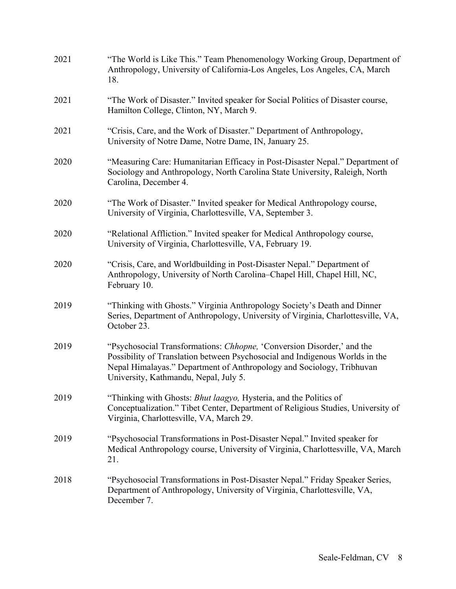| 2021 | "The World is Like This." Team Phenomenology Working Group, Department of<br>Anthropology, University of California-Los Angeles, Los Angeles, CA, March<br>18.                                                                                                           |
|------|--------------------------------------------------------------------------------------------------------------------------------------------------------------------------------------------------------------------------------------------------------------------------|
| 2021 | "The Work of Disaster." Invited speaker for Social Politics of Disaster course,<br>Hamilton College, Clinton, NY, March 9.                                                                                                                                               |
| 2021 | "Crisis, Care, and the Work of Disaster." Department of Anthropology,<br>University of Notre Dame, Notre Dame, IN, January 25.                                                                                                                                           |
| 2020 | "Measuring Care: Humanitarian Efficacy in Post-Disaster Nepal." Department of<br>Sociology and Anthropology, North Carolina State University, Raleigh, North<br>Carolina, December 4.                                                                                    |
| 2020 | "The Work of Disaster." Invited speaker for Medical Anthropology course,<br>University of Virginia, Charlottesville, VA, September 3.                                                                                                                                    |
| 2020 | "Relational Affliction." Invited speaker for Medical Anthropology course,<br>University of Virginia, Charlottesville, VA, February 19.                                                                                                                                   |
| 2020 | "Crisis, Care, and Worldbuilding in Post-Disaster Nepal." Department of<br>Anthropology, University of North Carolina-Chapel Hill, Chapel Hill, NC,<br>February 10.                                                                                                      |
| 2019 | "Thinking with Ghosts." Virginia Anthropology Society's Death and Dinner<br>Series, Department of Anthropology, University of Virginia, Charlottesville, VA,<br>October 23.                                                                                              |
| 2019 | "Psychosocial Transformations: Chhopne, 'Conversion Disorder,' and the<br>Possibility of Translation between Psychosocial and Indigenous Worlds in the<br>Nepal Himalayas." Department of Anthropology and Sociology, Tribhuvan<br>University, Kathmandu, Nepal, July 5. |
| 2019 | "Thinking with Ghosts: Bhut laagyo, Hysteria, and the Politics of<br>Conceptualization." Tibet Center, Department of Religious Studies, University of<br>Virginia, Charlottesville, VA, March 29.                                                                        |
| 2019 | "Psychosocial Transformations in Post-Disaster Nepal." Invited speaker for<br>Medical Anthropology course, University of Virginia, Charlottesville, VA, March<br>21.                                                                                                     |
| 2018 | "Psychosocial Transformations in Post-Disaster Nepal." Friday Speaker Series,<br>Department of Anthropology, University of Virginia, Charlottesville, VA,<br>December 7.                                                                                                 |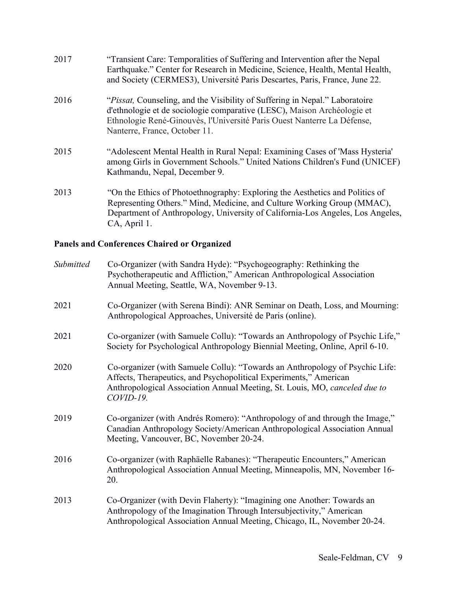| 2017 | "Transient Care: Temporalities of Suffering and Intervention after the Nepal<br>Earthquake." Center for Research in Medicine, Science, Health, Mental Health,<br>and Society (CERMES3), Université Paris Descartes, Paris, France, June 22.                               |
|------|---------------------------------------------------------------------------------------------------------------------------------------------------------------------------------------------------------------------------------------------------------------------------|
| 2016 | <i>"Pissat, Counseling, and the Visibility of Suffering in Nepal." Laboratoire</i><br>d'ethnologie et de sociologie comparative (LESC), Maison Archéologie et<br>Ethnologie René-Ginouvès, l'Université Paris Ouest Nanterre La Défense,<br>Nanterre, France, October 11. |
| 2015 | "Adolescent Mental Health in Rural Nepal: Examining Cases of 'Mass Hysteria'<br>among Girls in Government Schools." United Nations Children's Fund (UNICEF)<br>Kathmandu, Nepal, December 9.                                                                              |
| 2013 | "On the Ethics of Photoethnography: Exploring the Aesthetics and Politics of<br>Representing Others." Mind, Medicine, and Culture Working Group (MMAC),<br>Department of Anthropology, University of California-Los Angeles, Los Angeles,<br>CA, April 1.                 |

# **Panels and Conferences Chaired or Organized**

| Submitted | Co-Organizer (with Sandra Hyde): "Psychogeography: Rethinking the<br>Psychotherapeutic and Affliction," American Anthropological Association<br>Annual Meeting, Seattle, WA, November 9-13.                                                  |
|-----------|----------------------------------------------------------------------------------------------------------------------------------------------------------------------------------------------------------------------------------------------|
| 2021      | Co-Organizer (with Serena Bindi): ANR Seminar on Death, Loss, and Mourning:<br>Anthropological Approaches, Université de Paris (online).                                                                                                     |
| 2021      | Co-organizer (with Samuele Collu): "Towards an Anthropology of Psychic Life,"<br>Society for Psychological Anthropology Biennial Meeting, Online, April 6-10.                                                                                |
| 2020      | Co-organizer (with Samuele Collu): "Towards an Anthropology of Psychic Life:<br>Affects, Therapeutics, and Psychopolitical Experiments," American<br>Anthropological Association Annual Meeting, St. Louis, MO, canceled due to<br>COVID-19. |
| 2019      | Co-organizer (with Andrés Romero): "Anthropology of and through the Image,"<br>Canadian Anthropology Society/American Anthropological Association Annual<br>Meeting, Vancouver, BC, November 20-24.                                          |
| 2016      | Co-organizer (with Raphäelle Rabanes): "Therapeutic Encounters," American<br>Anthropological Association Annual Meeting, Minneapolis, MN, November 16-<br>20.                                                                                |
| 2013      | Co-Organizer (with Devin Flaherty): "Imagining one Another: Towards an<br>Anthropology of the Imagination Through Intersubjectivity," American<br>Anthropological Association Annual Meeting, Chicago, IL, November 20-24.                   |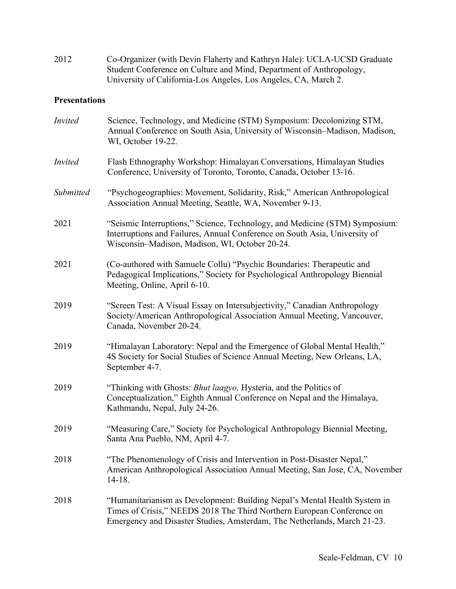2012 Co-Organizer (with Devin Flaherty and Kathryn Hale): UCLA-UCSD Graduate Student Conference on Culture and Mind, Department of Anthropology, University of California-Los Angeles, Los Angeles, CA, March 2.

#### **Presentations**

| <b>Invited</b> | Science, Technology, and Medicine (STM) Symposium: Decolonizing STM,<br>Annual Conference on South Asia, University of Wisconsin–Madison, Madison,<br>WI, October 19-22.                                                        |
|----------------|---------------------------------------------------------------------------------------------------------------------------------------------------------------------------------------------------------------------------------|
| <b>Invited</b> | Flash Ethnography Workshop: Himalayan Conversations, Himalayan Studies<br>Conference, University of Toronto, Toronto, Canada, October 13-16.                                                                                    |
| Submitted      | "Psychogeographies: Movement, Solidarity, Risk," American Anthropological<br>Association Annual Meeting, Seattle, WA, November 9-13.                                                                                            |
| 2021           | "Seismic Interruptions," Science, Technology, and Medicine (STM) Symposium:<br>Interruptions and Failures, Annual Conference on South Asia, University of<br>Wisconsin-Madison, Madison, WI, October 20-24.                     |
| 2021           | (Co-authored with Samuele Collu) "Psychic Boundaries: Therapeutic and<br>Pedagogical Implications," Society for Psychological Anthropology Biennial<br>Meeting, Online, April 6-10.                                             |
| 2019           | "Screen Test: A Visual Essay on Intersubjectivity," Canadian Anthropology<br>Society/American Anthropological Association Annual Meeting, Vancouver,<br>Canada, November 20-24.                                                 |
| 2019           | "Himalayan Laboratory: Nepal and the Emergence of Global Mental Health,"<br>4S Society for Social Studies of Science Annual Meeting, New Orleans, LA,<br>September 4-7.                                                         |
| 2019           | "Thinking with Ghosts: Bhut laagyo, Hysteria, and the Politics of<br>Conceptualization," Eighth Annual Conference on Nepal and the Himalaya,<br>Kathmandu, Nepal, July 24-26.                                                   |
| 2019           | "Measuring Care," Society for Psychological Anthropology Biennial Meeting,<br>Santa Ana Pueblo, NM, April 4-7.                                                                                                                  |
| 2018           | "The Phenomenology of Crisis and Intervention in Post-Disaster Nepal,"<br>American Anthropological Association Annual Meeting, San Jose, CA, November<br>$14 - 18.$                                                             |
| 2018           | "Humanitarianism as Development: Building Nepal's Mental Health System in<br>Times of Crisis," NEEDS 2018 The Third Northern European Conference on<br>Emergency and Disaster Studies, Amsterdam, The Netherlands, March 21-23. |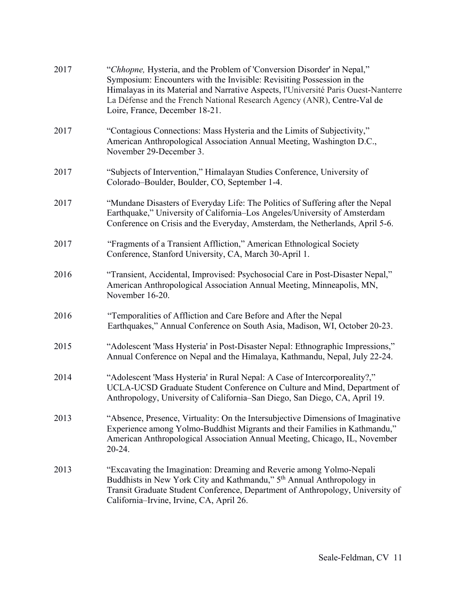| 2017 | "Chhopne, Hysteria, and the Problem of 'Conversion Disorder' in Nepal,"<br>Symposium: Encounters with the Invisible: Revisiting Possession in the<br>Himalayas in its Material and Narrative Aspects, l'Université Paris Ouest-Nanterre<br>La Défense and the French National Research Agency (ANR), Centre-Val de<br>Loire, France, December 18-21. |
|------|------------------------------------------------------------------------------------------------------------------------------------------------------------------------------------------------------------------------------------------------------------------------------------------------------------------------------------------------------|
| 2017 | "Contagious Connections: Mass Hysteria and the Limits of Subjectivity,"<br>American Anthropological Association Annual Meeting, Washington D.C.,<br>November 29-December 3.                                                                                                                                                                          |
| 2017 | "Subjects of Intervention," Himalayan Studies Conference, University of<br>Colorado-Boulder, Boulder, CO, September 1-4.                                                                                                                                                                                                                             |
| 2017 | "Mundane Disasters of Everyday Life: The Politics of Suffering after the Nepal<br>Earthquake," University of California-Los Angeles/University of Amsterdam<br>Conference on Crisis and the Everyday, Amsterdam, the Netherlands, April 5-6.                                                                                                         |
| 2017 | "Fragments of a Transient Affliction," American Ethnological Society<br>Conference, Stanford University, CA, March 30-April 1.                                                                                                                                                                                                                       |
| 2016 | "Transient, Accidental, Improvised: Psychosocial Care in Post-Disaster Nepal,"<br>American Anthropological Association Annual Meeting, Minneapolis, MN,<br>November 16-20.                                                                                                                                                                           |
| 2016 | "Temporalities of Affliction and Care Before and After the Nepal<br>Earthquakes," Annual Conference on South Asia, Madison, WI, October 20-23.                                                                                                                                                                                                       |
| 2015 | "Adolescent 'Mass Hysteria' in Post-Disaster Nepal: Ethnographic Impressions,"<br>Annual Conference on Nepal and the Himalaya, Kathmandu, Nepal, July 22-24.                                                                                                                                                                                         |
| 2014 | "Adolescent 'Mass Hysteria' in Rural Nepal: A Case of Intercorporeality?,"<br>UCLA-UCSD Graduate Student Conference on Culture and Mind, Department of<br>Anthropology, University of California-San Diego, San Diego, CA, April 19.                                                                                                                 |
| 2013 | "Absence, Presence, Virtuality: On the Intersubjective Dimensions of Imaginative<br>Experience among Yolmo-Buddhist Migrants and their Families in Kathmandu,"<br>American Anthropological Association Annual Meeting, Chicago, IL, November<br>20-24.                                                                                               |
| 2013 | "Excavating the Imagination: Dreaming and Reverie among Yolmo-Nepali<br>Buddhists in New York City and Kathmandu," 5 <sup>th</sup> Annual Anthropology in<br>Transit Graduate Student Conference, Department of Anthropology, University of<br>California-Irvine, Irvine, CA, April 26.                                                              |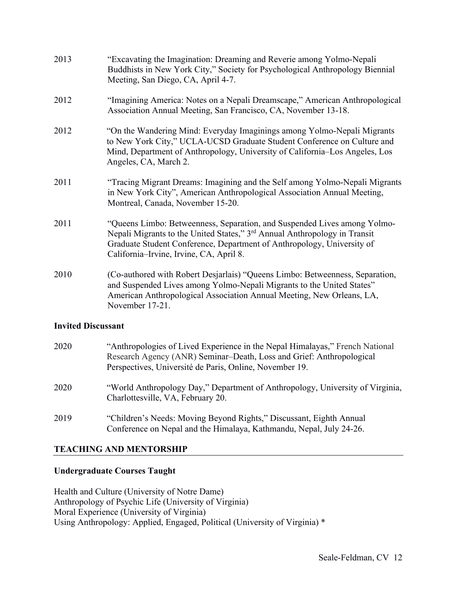| 2013 | "Excavating the Imagination: Dreaming and Reverie among Yolmo-Nepali<br>Buddhists in New York City," Society for Psychological Anthropology Biennial<br>Meeting, San Diego, CA, April 4-7.                                                                                             |
|------|----------------------------------------------------------------------------------------------------------------------------------------------------------------------------------------------------------------------------------------------------------------------------------------|
| 2012 | "Imagining America: Notes on a Nepali Dreamscape," American Anthropological<br>Association Annual Meeting, San Francisco, CA, November 13-18.                                                                                                                                          |
| 2012 | "On the Wandering Mind: Everyday Imaginings among Yolmo-Nepali Migrants<br>to New York City," UCLA-UCSD Graduate Student Conference on Culture and<br>Mind, Department of Anthropology, University of California–Los Angeles, Los<br>Angeles, CA, March 2.                             |
| 2011 | "Tracing Migrant Dreams: Imagining and the Self among Yolmo-Nepali Migrants<br>in New York City", American Anthropological Association Annual Meeting,<br>Montreal, Canada, November 15-20.                                                                                            |
| 2011 | "Queens Limbo: Betweenness, Separation, and Suspended Lives among Yolmo-<br>Nepali Migrants to the United States," 3 <sup>rd</sup> Annual Anthropology in Transit<br>Graduate Student Conference, Department of Anthropology, University of<br>California–Irvine, Irvine, CA, April 8. |
| 2010 | (Co-authored with Robert Desjarlais) "Queens Limbo: Betweenness, Separation,<br>and Suspended Lives among Yolmo-Nepali Migrants to the United States"<br>American Anthropological Association Annual Meeting, New Orleans, LA,<br>November 17-21.                                      |
|      |                                                                                                                                                                                                                                                                                        |

#### **Invited Discussant**

| 2020 | "Anthropologies of Lived Experience in the Nepal Himalayas," French National<br>Research Agency (ANR) Seminar-Death, Loss and Grief: Anthropological<br>Perspectives, Université de Paris, Online, November 19. |
|------|-----------------------------------------------------------------------------------------------------------------------------------------------------------------------------------------------------------------|
| 2020 | "World Anthropology Day," Department of Anthropology, University of Virginia,<br>Charlottesville, VA, February 20.                                                                                              |
| 2019 | "Children's Needs: Moving Beyond Rights," Discussant, Eighth Annual<br>Conference on Nepal and the Himalaya, Kathmandu, Nepal, July 24-26.                                                                      |

# **TEACHING AND MENTORSHIP**

# **Undergraduate Courses Taught**

Health and Culture (University of Notre Dame) Anthropology of Psychic Life (University of Virginia) Moral Experience (University of Virginia) Using Anthropology: Applied, Engaged, Political (University of Virginia) \*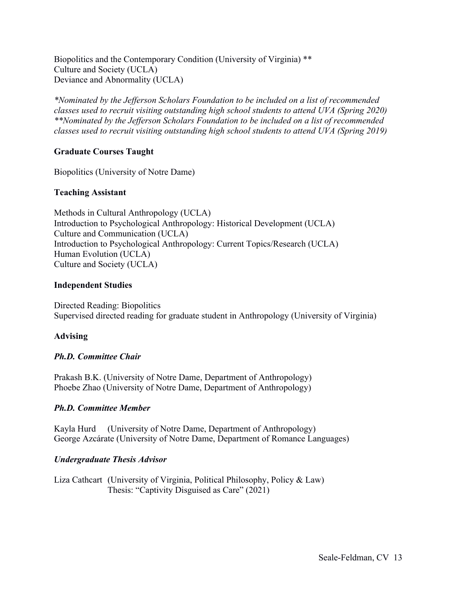Biopolitics and the Contemporary Condition (University of Virginia) \*\* Culture and Society (UCLA) Deviance and Abnormality (UCLA)

*\*Nominated by the Jefferson Scholars Foundation to be included on a list of recommended classes used to recruit visiting outstanding high school students to attend UVA (Spring 2020) \*\*Nominated by the Jefferson Scholars Foundation to be included on a list of recommended classes used to recruit visiting outstanding high school students to attend UVA (Spring 2019)*

# **Graduate Courses Taught**

Biopolitics (University of Notre Dame)

# **Teaching Assistant**

Methods in Cultural Anthropology (UCLA) Introduction to Psychological Anthropology: Historical Development (UCLA) Culture and Communication (UCLA) Introduction to Psychological Anthropology: Current Topics/Research (UCLA) Human Evolution (UCLA) Culture and Society (UCLA)

#### **Independent Studies**

Directed Reading: Biopolitics Supervised directed reading for graduate student in Anthropology (University of Virginia)

# **Advising**

# *Ph.D. Committee Chair*

Prakash B.K. (University of Notre Dame, Department of Anthropology) Phoebe Zhao (University of Notre Dame, Department of Anthropology)

# *Ph.D. Committee Member*

Kayla Hurd (University of Notre Dame, Department of Anthropology) George Azcárate (University of Notre Dame, Department of Romance Languages)

# *Undergraduate Thesis Advisor*

Liza Cathcart (University of Virginia, Political Philosophy, Policy & Law) Thesis: "Captivity Disguised as Care" (2021)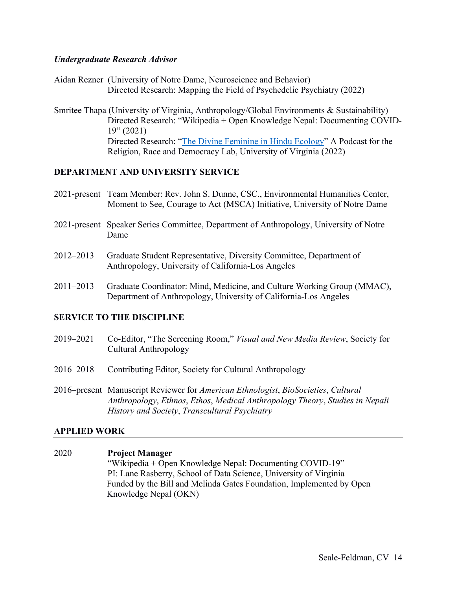#### *Undergraduate Research Advisor*

- Aidan Rezner (University of Notre Dame, Neuroscience and Behavior) Directed Research: Mapping the Field of Psychedelic Psychiatry (2022)
- Smritee Thapa (University of Virginia, Anthropology/Global Environments & Sustainability) Directed Research: "Wikipedia + Open Knowledge Nepal: Documenting COVID- $19''(2021)$ Directed Research: "The Divine Feminine in Hindu Ecology" A Podcast for the Religion, Race and Democracy Lab, University of Virginia (2022)

#### **DEPARTMENT AND UNIVERSITY SERVICE**

- 2021-present Team Member: Rev. John S. Dunne, CSC., Environmental Humanities Center, Moment to See, Courage to Act (MSCA) Initiative, University of Notre Dame
- 2021-present Speaker Series Committee, Department of Anthropology, University of Notre Dame
- 2012–2013 Graduate Student Representative, Diversity Committee, Department of Anthropology, University of California-Los Angeles
- 2011–2013 Graduate Coordinator: Mind, Medicine, and Culture Working Group (MMAC), Department of Anthropology, University of California-Los Angeles

#### **SERVICE TO THE DISCIPLINE**

- 2019–2021 Co-Editor, "The Screening Room," *Visual and New Media Review*, Society for Cultural Anthropology
- 2016–2018 Contributing Editor, Society for Cultural Anthropology
- 2016–present Manuscript Reviewer for *American Ethnologist*, *BioSocieties*, *Cultural Anthropology*, *Ethnos*, *Ethos*, *Medical Anthropology Theory*, *Studies in Nepali History and Society*, *Transcultural Psychiatry*

#### **APPLIED WORK**

2020 **Project Manager** "Wikipedia + Open Knowledge Nepal: Documenting COVID-19" PI: Lane Rasberry, School of Data Science, University of Virginia Funded by the Bill and Melinda Gates Foundation, Implemented by Open Knowledge Nepal (OKN)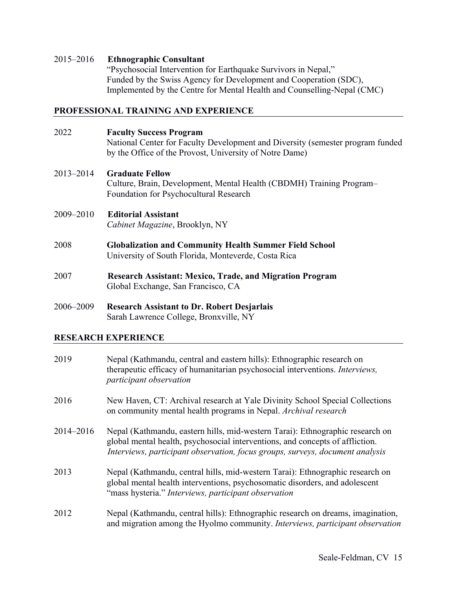#### 2015–2016 **Ethnographic Consultant**

"Psychosocial Intervention for Earthquake Survivors in Nepal," Funded by the Swiss Agency for Development and Cooperation (SDC), Implemented by the Centre for Mental Health and Counselling-Nepal (CMC)

# **PROFESSIONAL TRAINING AND EXPERIENCE**

| 2022      | <b>Faculty Success Program</b><br>National Center for Faculty Development and Diversity (semester program funded<br>by the Office of the Provost, University of Notre Dame) |
|-----------|-----------------------------------------------------------------------------------------------------------------------------------------------------------------------------|
| 2013–2014 | <b>Graduate Fellow</b><br>Culture, Brain, Development, Mental Health (CBDMH) Training Program–<br>Foundation for Psychocultural Research                                    |
| 2009–2010 | <b>Editorial Assistant</b><br>Cabinet Magazine, Brooklyn, NY                                                                                                                |
| 2008      | <b>Globalization and Community Health Summer Field School</b><br>University of South Florida, Monteverde, Costa Rica                                                        |
| 2007      | <b>Research Assistant: Mexico, Trade, and Migration Program</b><br>Global Exchange, San Francisco, CA                                                                       |
|           |                                                                                                                                                                             |

2006–2009 **Research Assistant to Dr. Robert Desjarlais** Sarah Lawrence College, Bronxville, NY

# **RESEARCH EXPERIENCE**

| 2019      | Nepal (Kathmandu, central and eastern hills): Ethnographic research on<br>therapeutic efficacy of humanitarian psychosocial interventions. Interviews,<br><i>participant observation</i>                                                        |
|-----------|-------------------------------------------------------------------------------------------------------------------------------------------------------------------------------------------------------------------------------------------------|
| 2016      | New Haven, CT: Archival research at Yale Divinity School Special Collections<br>on community mental health programs in Nepal. Archival research                                                                                                 |
| 2014-2016 | Nepal (Kathmandu, eastern hills, mid-western Tarai): Ethnographic research on<br>global mental health, psychosocial interventions, and concepts of affliction.<br>Interviews, participant observation, focus groups, surveys, document analysis |
| 2013      | Nepal (Kathmandu, central hills, mid-western Tarai): Ethnographic research on<br>global mental health interventions, psychosomatic disorders, and adolescent<br>"mass hysteria." Interviews, participant observation                            |
| 2012      | Nepal (Kathmandu, central hills): Ethnographic research on dreams, imagination,<br>and migration among the Hyolmo community. Interviews, participant observation                                                                                |